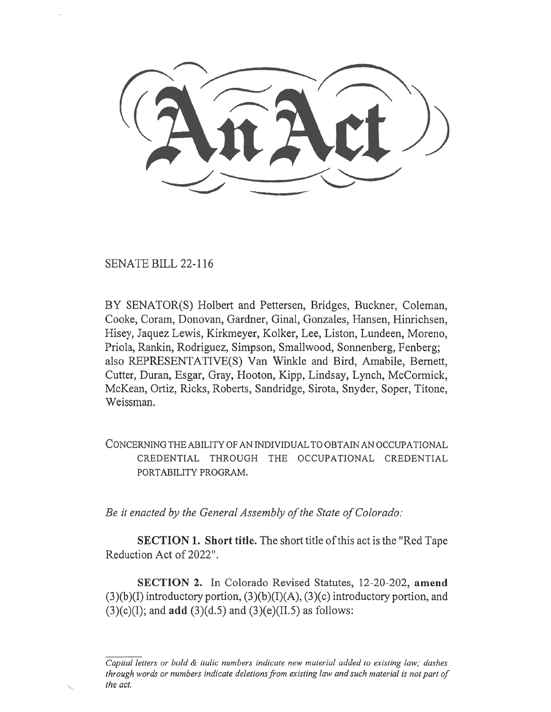SENATE BILL 22-116

BY SENATOR(S) Holbert and Pettersen, Bridges, Buckner, Coleman, Cooke, Coram, Donovan, Gardner, Ginal, Gonzales, Hansen, Hinrichsen, Hisey, Jaquez Lewis, Kirkmeyer, Kolker, Lee, Liston, Lundeen, Moreno, Priola, Rankin, Rodriguez, Simpson, Smallwood, Sonnenberg, Fenberg; also REPRESENTATIVE(S) Van Winkle and Bird, Amabile, Bernett, Cutter, Duran, Esgar, Gray, Hooton, Kipp, Lindsay, Lynch, McCormick, McKean, Ortiz, Ricks, Roberts, Sandridge, Sirota, Snyder, Soper, Titone, Weissman.

CONCERNING THE ABILITY OF AN INDIVIDUAL TO OBTAIN AN OCCUPATIONAL CREDENTIAL THROUGH THE OCCUPATIONAL CREDENTIAL PORTABILITY PROGRAM.

Be it enacted by the General Assembly of the State of Colorado:

SECTION 1. Short title. The short title of this act is the "Red Tape Reduction Act of 2022".

SECTION 2. In Colorado Revised Statutes, 12-20-202, amend  $(3)(b)(I)$  introductory portion,  $(3)(b)(I)(A)$ ,  $(3)(c)$  introductory portion, and  $(3)(c)(I)$ ; and **add**  $(3)(d.5)$  and  $(3)(e)(II.5)$  as follows:

Capital letters or bold & italic numbers indicate new material added to existing law; dashes through words or numbers indicate deletions from existing law and such material is not part of the act.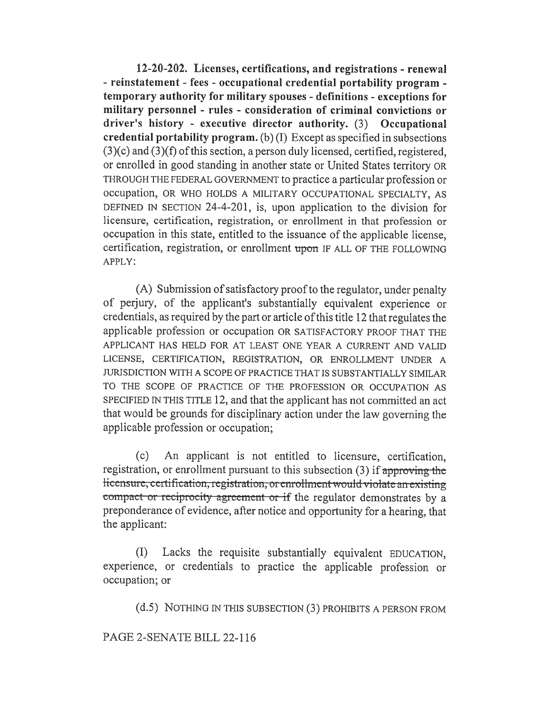12-20-202. Licenses, certifications, and registrations - renewal - reinstatement - fees - occupational credential portability program temporary authority for military spouses - definitions - exceptions for military personnel - rules - consideration of criminal convictions or driver's history - executive director authority. (3) Occupational credential portability program. (b) (I) Except as specified in subsections (3)(c) and (3)(f) of this section, a person duly licensed, certified, registered, or enrolled in good standing in another state or United States territory OR THROUGH THE FEDERAL GOVERNMENT to practice a particular profession or occupation, OR WHO HOLDS A MILITARY OCCUPATIONAL SPECIALTY, AS DEFINED IN SECTION 24-4-201, is, upon application to the division for licensure, certification, registration, or enrollment in that profession or occupation in this state, entitled to the issuance of the applicable license, certification, registration, or enrollment upon IF ALL OF THE FOLLOWING APPLY:

(A) Submission of satisfactory proof to the regulator, under penalty of perjury, of the applicant's substantially equivalent experience or credentials, as required by the part or article of this title 12 that regulates the applicable profession or occupation OR SATISFACTORY PROOF THAT THE APPLICANT HAS HELD FOR AT LEAST ONE YEAR A CURRENT AND VALID LICENSE, CERTIFICATION, REGISTRATION, OR ENROLLMENT UNDER A JURISDICTION WITH A SCOPE OF PRACTICE THAT IS SUBSTANTIALLY SIMILAR TO THE SCOPE OF PRACTICE OF THE PROFESSION OR OCCUPATION AS SPECIFIED IN THIS TITLE 12, and that the applicant has not committed an act that would be grounds for disciplinary action under the law governing the applicable profession or occupation;

(c) An applicant is not entitled to licensure, certification, registration, or enrollment pursuant to this subsection (3) if approving the licensure, certification, registration, or enrollment would violate an existing compact or reciprocity agreement or if the regulator demonstrates by a preponderance of evidence, after notice and opportunity for a hearing, that the applicant:

(I) Lacks the requisite substantially equivalent EDUCATION, experience, or credentials to practice the applicable profession or occupation; or

(d.5) NOTHING IN THIS SUBSECTION (3) PROHIBITS A PERSON FROM

PAGE 2-SENATE BILL 22-116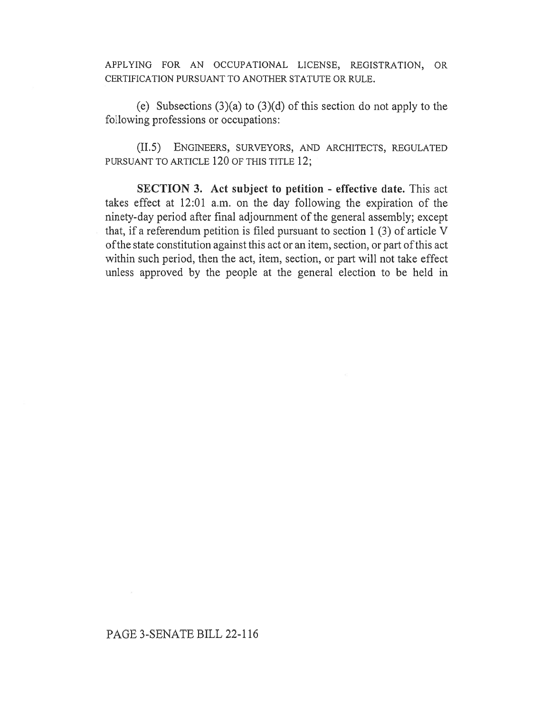APPLYING FOR AN OCCUPATIONAL LICENSE, REGISTRATION, OR CERTIFICATION PURSUANT TO ANOTHER STATUTE OR RULE.

(e) Subsections (3)(a) to (3)(d) of this section do not apply to the following professions or occupations:

(II.5) ENGINEERS, SURVEYORS, AND ARCHITECTS, REGULATED PURSUANT TO ARTICLE 120 OF THIS TITLE 12;

SECTION 3. Act subject to petition - effective date. This act takes effect at 12:01 a.m. on the day following the expiration of the ninety-day period after final adjournment of the general assembly; except that, if a referendum petition is filed pursuant to section 1 (3) of article V of the state constitution against this act or an item, section, or part of this act within such period, then the act, item, section, or part will not take effect unless approved by the people at the general election to be held in